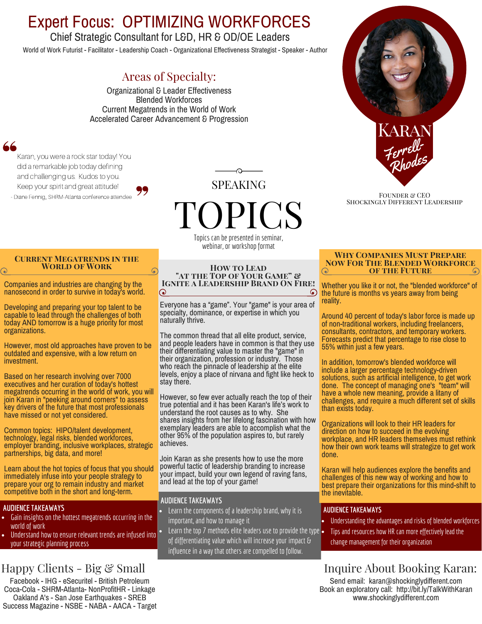# Expert Focus: OPTIMIZING WORKFORCES

# Chief Strategic Consultant for L&D, HR & OD/OE Leaders

World of Work Futurist - Facilitator - Leadership Coach - Organizational Effectiveness Strategist - Speaker - Author

# Areas of Specialty:

Organizational & Leader Effectiveness Blended Workforces Current Megatrends in the World of Work Accelerated Career Advancement & Progression

Karan, you were a rock star today! You did a remarkable job today defining and challenging us. Kudos to you. Keep your spirit and great attitude! - Diane Fennig,, SHRM-Atlanta conference attendee



# OPICS Topics can be presented in seminar,

webinar, or workshop format

### **Current Megatrends in the World of Work**

nanosecond in order to survive in today's world.

Developing and preparing your top talent to be capable to lead through the challenges of both today AND tomorrow is a huge priority for most organizations.

However, most old approaches have proven to be outdated and expensive, with a low return on investment.

Based on her research involving over 7000 executives and her curation of today's hottest megatrends occurring in the world of work, you will join Karan in "peeking around corners" to assess key drivers of the future that most professionals have missed or not yet considered.

Common topics: HIPO/talent development, technology, legal risks, blended workforces, employer branding, inclusive workplaces, strategic partnerships, big data, and more!

Learn about the hot topics of focus that you should immediately infuse into your people strategy to prepare your org to remain industry and market competitive both in the short and long-term.

## **AUDIENCE TAKEAWAYS**

- $\bullet$  Gain insights on the hottest megatrends occurring in the world of work
- $\bullet$  Understand how to ensure relevant trends are infused into  $\degree$ your strategic planning process

# Happy Clients - Big & Small

Facebook - IHG - eSecuritel - British Petroleum Coca-Cola - SHRM-Atlanta- NonProfitHR - Linkage Oakland A's - San Jose Earthquakes - SREB Success Magazine - NSBE - NABA - AACA - Target

#### **How to Lead "at the Top of Your Game" &** Companies and industries are changing by the **Ignite a Leadership Brand On Fire!** 6  $\odot$

Everyone has a "game". Your "game" is your area of specialty, dominance, or expertise in which you naturally thrive.

The common thread that all elite product, service, and people leaders have in common is that they use their differentiating value to master the "game" in their organization, profession or industry. Those who reach the pinnacle of leadership at the elite levels, enjoy a place of nirvana and fight like heck to stay there.

However, so few ever actually reach the top of their true potential and it has been Karan's life's work to understand the root causes as to why. She shares insights from her lifelong fascination with how exemplary leaders are able to accomplish what the other 95% of the population aspires to, but rarely achieves.

Join Karan as she presents how to use the more powerful tactic of leadership branding to increase your impact, build your own legend of raving fans, and lead at the top of your game!

## **AUDIENCE TAKEAWAYS**

- Learn the components of a leadership brand, why it is important, and how to manage it
- Learn the top  $7$  methods elite leaders use to provide the type  $\bullet$ of differentiating value which will increase your impact & influence in a way that others are compelled to follow.



FOUNDER & CEO Shockingly Different Leadership

### **Why Companies Must Prepare Now For The Blended Workforce of the Future**

Whether you like it or not, the "blended workforce" of the future is months vs years away from being reality.

Around 40 percent of today's labor force is made up of non-traditional workers, including freelancers, consultants, contractors, and temporary workers. Forecasts predict that percentage to rise close to 55% within just a few years.

In addition, tomorrow's blended workforce will include a larger percentage technology-driven solutions, such as artificial intelligence, to get work done. The concept of managing one's "team" will have a whole new meaning, provide a litany of challenges, and require a much different set of skills than exists today.

Organizations will look to their HR leaders for direction on how to succeed in the evolving workplace, and HR leaders themselves must rethink how their own work teams will strategize to get work done.

Karan will help audiences explore the benefits and challenges of this new way of working and how to best prepare their organizations for this mind-shift to the inevitable.

## **AUDIENCE TAKEAWAYS**

- Understanding the advantages and risks of blended workforces
- Tips and resources how HR can more effectively lead the change management for their organization

# Inquire About Booking Karan:

Send email: karan@shockinglydifferent.com Book an exploratory call: http://bit.ly/TalkWithKaran www.shockinglydifferent.com